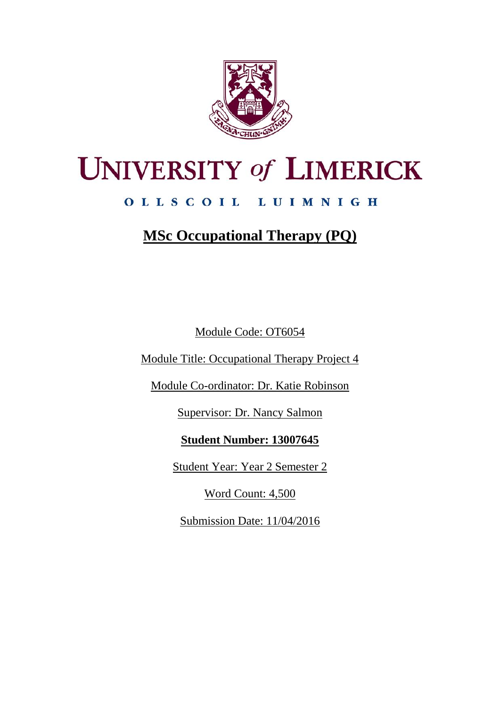

# **UNIVERSITY of LIMERICK**

# OLLSCOIL LUIMNIGH

# **MSc Occupational Therapy (PQ)**

Module Code: OT6054

Module Title: Occupational Therapy Project 4

Module Co-ordinator: Dr. Katie Robinson

Supervisor: Dr. Nancy Salmon

# **Student Number: 13007645**

Student Year: Year 2 Semester 2

Word Count: 4,500

Submission Date: 11/04/2016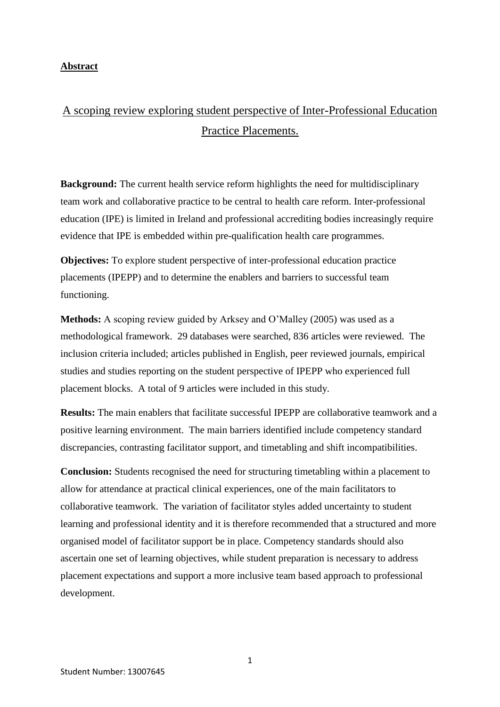#### **Abstract**

# A scoping review exploring student perspective of Inter-Professional Education Practice Placements.

**Background:** The current health service reform highlights the need for multidisciplinary team work and collaborative practice to be central to health care reform. Inter-professional education (IPE) is limited in Ireland and professional accrediting bodies increasingly require evidence that IPE is embedded within pre-qualification health care programmes.

**Objectives:** To explore student perspective of inter-professional education practice placements (IPEPP) and to determine the enablers and barriers to successful team functioning.

**Methods:** A scoping review guided by Arksey and O'Malley (2005) was used as a methodological framework. 29 databases were searched, 836 articles were reviewed. The inclusion criteria included; articles published in English, peer reviewed journals, empirical studies and studies reporting on the student perspective of IPEPP who experienced full placement blocks. A total of 9 articles were included in this study.

**Results:** The main enablers that facilitate successful IPEPP are collaborative teamwork and a positive learning environment. The main barriers identified include competency standard discrepancies, contrasting facilitator support, and timetabling and shift incompatibilities.

**Conclusion:** Students recognised the need for structuring timetabling within a placement to allow for attendance at practical clinical experiences, one of the main facilitators to collaborative teamwork. The variation of facilitator styles added uncertainty to student learning and professional identity and it is therefore recommended that a structured and more organised model of facilitator support be in place. Competency standards should also ascertain one set of learning objectives, while student preparation is necessary to address placement expectations and support a more inclusive team based approach to professional development.

1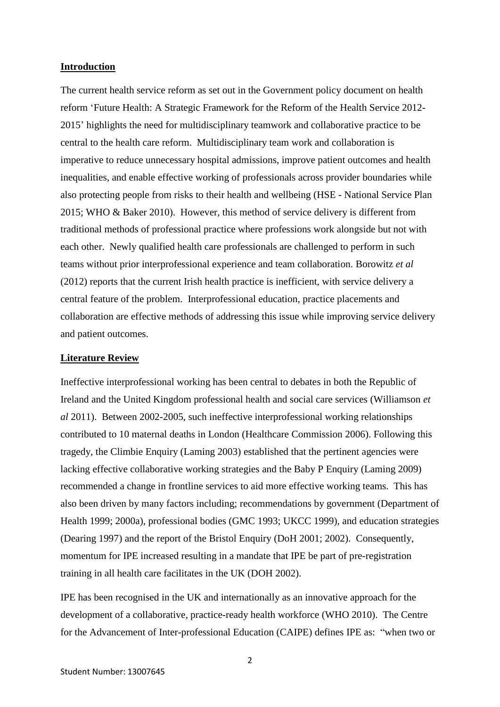#### **Introduction**

The current health service reform as set out in the Government policy document on health reform 'Future Health: A Strategic Framework for the Reform of the Health Service 2012- 2015' highlights the need for multidisciplinary teamwork and collaborative practice to be central to the health care reform. Multidisciplinary team work and collaboration is imperative to reduce unnecessary hospital admissions, improve patient outcomes and health inequalities, and enable effective working of professionals across provider boundaries while also protecting people from risks to their health and wellbeing (HSE - National Service Plan 2015; WHO & Baker 2010). However, this method of service delivery is different from traditional methods of professional practice where professions work alongside but not with each other. Newly qualified health care professionals are challenged to perform in such teams without prior interprofessional experience and team collaboration. Borowitz *et al* (2012) reports that the current Irish health practice is inefficient, with service delivery a central feature of the problem. Interprofessional education, practice placements and collaboration are effective methods of addressing this issue while improving service delivery and patient outcomes.

#### **Literature Review**

Ineffective interprofessional working has been central to debates in both the Republic of Ireland and the United Kingdom professional health and social care services (Williamson *et al* 2011). Between 2002-2005, such ineffective interprofessional working relationships contributed to 10 maternal deaths in London (Healthcare Commission 2006). Following this tragedy, the Climbie Enquiry (Laming 2003) established that the pertinent agencies were lacking effective collaborative working strategies and the Baby P Enquiry (Laming 2009) recommended a change in frontline services to aid more effective working teams. This has also been driven by many factors including; recommendations by government (Department of Health 1999; 2000a), professional bodies (GMC 1993; UKCC 1999), and education strategies (Dearing 1997) and the report of the Bristol Enquiry (DoH 2001; 2002). Consequently, momentum for IPE increased resulting in a mandate that IPE be part of pre-registration training in all health care facilitates in the UK (DOH 2002).

IPE has been recognised in the UK and internationally as an innovative approach for the development of a collaborative, practice-ready health workforce (WHO 2010). The Centre for the Advancement of Inter-professional Education (CAIPE) defines IPE as: "when two or

2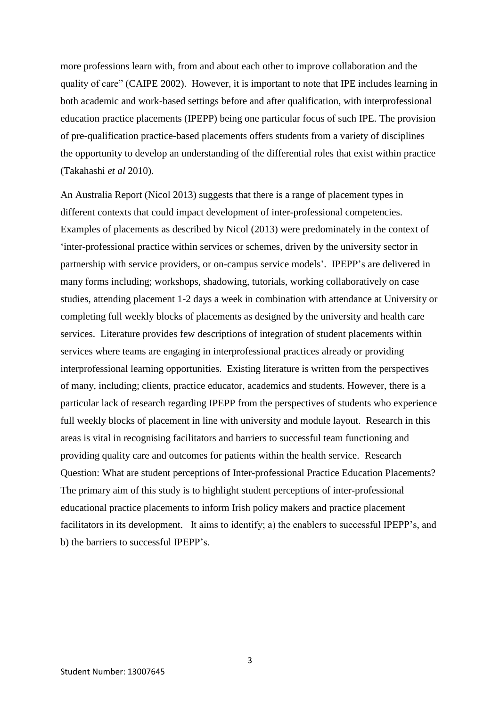more professions learn with, from and about each other to improve collaboration and the quality of care" (CAIPE 2002). However, it is important to note that IPE includes learning in both academic and work-based settings before and after qualification, with interprofessional education practice placements (IPEPP) being one particular focus of such IPE. The provision of pre-qualification practice-based placements offers students from a variety of disciplines the opportunity to develop an understanding of the differential roles that exist within practice (Takahashi *et al* 2010).

An Australia Report (Nicol 2013) suggests that there is a range of placement types in different contexts that could impact development of inter-professional competencies. Examples of placements as described by Nicol (2013) were predominately in the context of 'inter-professional practice within services or schemes, driven by the university sector in partnership with service providers, or on-campus service models'. IPEPP's are delivered in many forms including; workshops, shadowing, tutorials, working collaboratively on case studies, attending placement 1-2 days a week in combination with attendance at University or completing full weekly blocks of placements as designed by the university and health care services. Literature provides few descriptions of integration of student placements within services where teams are engaging in interprofessional practices already or providing interprofessional learning opportunities. Existing literature is written from the perspectives of many, including; clients, practice educator, academics and students. However, there is a particular lack of research regarding IPEPP from the perspectives of students who experience full weekly blocks of placement in line with university and module layout. Research in this areas is vital in recognising facilitators and barriers to successful team functioning and providing quality care and outcomes for patients within the health service. Research Question: What are student perceptions of Inter-professional Practice Education Placements? The primary aim of this study is to highlight student perceptions of inter-professional educational practice placements to inform Irish policy makers and practice placement facilitators in its development. It aims to identify; a) the enablers to successful IPEPP's, and b) the barriers to successful IPEPP's.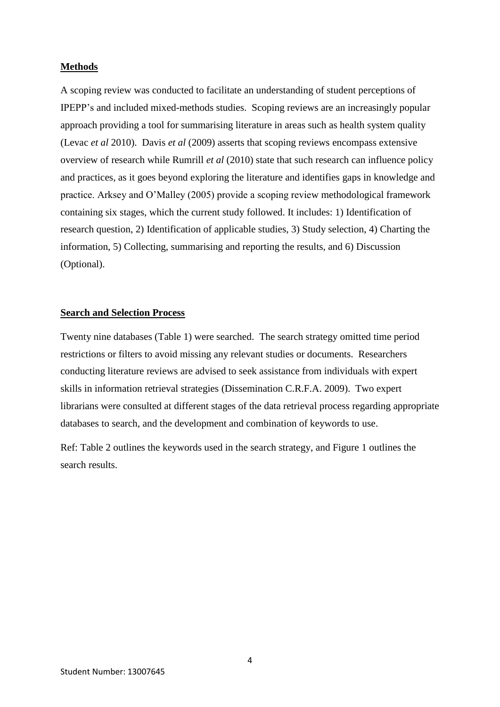#### **Methods**

A scoping review was conducted to facilitate an understanding of student perceptions of IPEPP's and included mixed-methods studies. Scoping reviews are an increasingly popular approach providing a tool for summarising literature in areas such as health system quality (Levac *et al* 2010). Davis *et al* (2009) asserts that scoping reviews encompass extensive overview of research while Rumrill *et al* (2010) state that such research can influence policy and practices, as it goes beyond exploring the literature and identifies gaps in knowledge and practice. Arksey and O'Malley (2005) provide a scoping review methodological framework containing six stages, which the current study followed. It includes: 1) Identification of research question, 2) Identification of applicable studies, 3) Study selection, 4) Charting the information, 5) Collecting, summarising and reporting the results, and 6) Discussion (Optional).

#### **Search and Selection Process**

Twenty nine databases (Table 1) were searched. The search strategy omitted time period restrictions or filters to avoid missing any relevant studies or documents. Researchers conducting literature reviews are advised to seek assistance from individuals with expert skills in information retrieval strategies (Dissemination C.R.F.A. 2009). Two expert librarians were consulted at different stages of the data retrieval process regarding appropriate databases to search, and the development and combination of keywords to use.

Ref: Table 2 outlines the keywords used in the search strategy, and Figure 1 outlines the search results.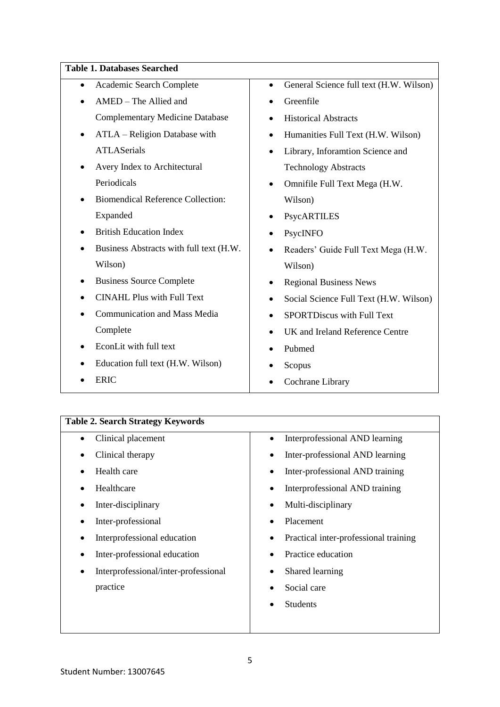#### **Table 1. Databases Searched**

| Academic Search Complete<br>$\bullet$    | General Science full text (H.W. Wilson)<br>$\bullet$ |
|------------------------------------------|------------------------------------------------------|
| AMED - The Allied and                    | Greenfile<br>$\bullet$                               |
| <b>Complementary Medicine Database</b>   | <b>Historical Abstracts</b><br>$\bullet$             |
| ATLA - Religion Database with<br>٠       | Humanities Full Text (H.W. Wilson)<br>$\bullet$      |
| <b>ATLASerials</b>                       | Library, Inforamtion Science and<br>$\bullet$        |
| Avery Index to Architectural             | <b>Technology Abstracts</b>                          |
| Periodicals                              | Omnifile Full Text Mega (H.W.                        |
| <b>Biomendical Reference Collection:</b> | Wilson)                                              |
| Expanded                                 | PsycARTILES                                          |
| <b>British Education Index</b>           | PsycINFO                                             |
| Business Abstracts with full text (H.W.  | Readers' Guide Full Text Mega (H.W.                  |
| Wilson)                                  | Wilson)                                              |
| <b>Business Source Complete</b>          | <b>Regional Business News</b>                        |
| <b>CINAHL Plus with Full Text</b>        | Social Science Full Text (H.W. Wilson)<br>٠          |
| <b>Communication and Mass Media</b>      | <b>SPORTDiscus with Full Text</b>                    |
| Complete                                 | UK and Ireland Reference Centre<br>$\bullet$         |
| EconLit with full text                   | Pubmed                                               |
| Education full text (H.W. Wilson)        | Scopus                                               |
| <b>ERIC</b>                              | Cochrane Library                                     |

# **Table 2. Search Strategy Keywords**

| Clinical placement                   | Interprofessional AND learning        |
|--------------------------------------|---------------------------------------|
| Clinical therapy                     | Inter-professional AND learning       |
| Health care                          | Inter-professional AND training       |
| Healthcare                           | Interprofessional AND training        |
| Inter-disciplinary                   | Multi-disciplinary                    |
| Inter-professional                   | Placement                             |
| Interprofessional education          | Practical inter-professional training |
| Inter-professional education         | Practice education                    |
| Interprofessional/inter-professional | Shared learning                       |
| practice                             | Social care                           |
|                                      | <b>Students</b>                       |
|                                      |                                       |
|                                      |                                       |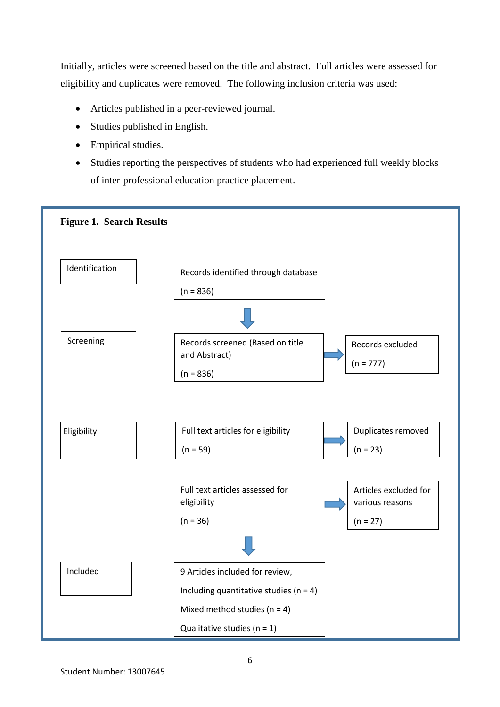Initially, articles were screened based on the title and abstract. Full articles were assessed for eligibility and duplicates were removed. The following inclusion criteria was used:

- Articles published in a peer-reviewed journal.
- Studies published in English.
- Empirical studies.
- Studies reporting the perspectives of students who had experienced full weekly blocks of inter-professional education practice placement.

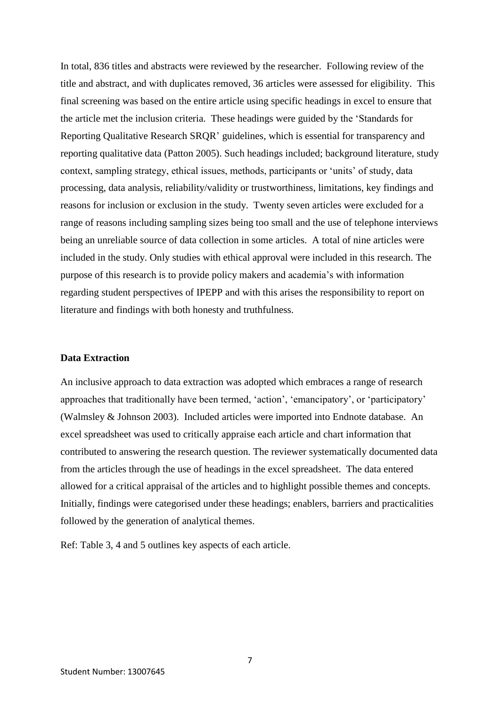In total, 836 titles and abstracts were reviewed by the researcher. Following review of the title and abstract, and with duplicates removed, 36 articles were assessed for eligibility. This final screening was based on the entire article using specific headings in excel to ensure that the article met the inclusion criteria. These headings were guided by the 'Standards for Reporting Qualitative Research SRQR' guidelines, which is essential for transparency and reporting qualitative data (Patton 2005). Such headings included; background literature, study context, sampling strategy, ethical issues, methods, participants or 'units' of study, data processing, data analysis, reliability/validity or trustworthiness, limitations, key findings and reasons for inclusion or exclusion in the study. Twenty seven articles were excluded for a range of reasons including sampling sizes being too small and the use of telephone interviews being an unreliable source of data collection in some articles. A total of nine articles were included in the study. Only studies with ethical approval were included in this research. The purpose of this research is to provide policy makers and academia's with information regarding student perspectives of IPEPP and with this arises the responsibility to report on literature and findings with both honesty and truthfulness.

#### **Data Extraction**

An inclusive approach to data extraction was adopted which embraces a range of research approaches that traditionally have been termed, 'action', 'emancipatory', or 'participatory' (Walmsley & Johnson 2003). Included articles were imported into Endnote database. An excel spreadsheet was used to critically appraise each article and chart information that contributed to answering the research question. The reviewer systematically documented data from the articles through the use of headings in the excel spreadsheet. The data entered allowed for a critical appraisal of the articles and to highlight possible themes and concepts. Initially, findings were categorised under these headings; enablers, barriers and practicalities followed by the generation of analytical themes.

Ref: Table 3, 4 and 5 outlines key aspects of each article.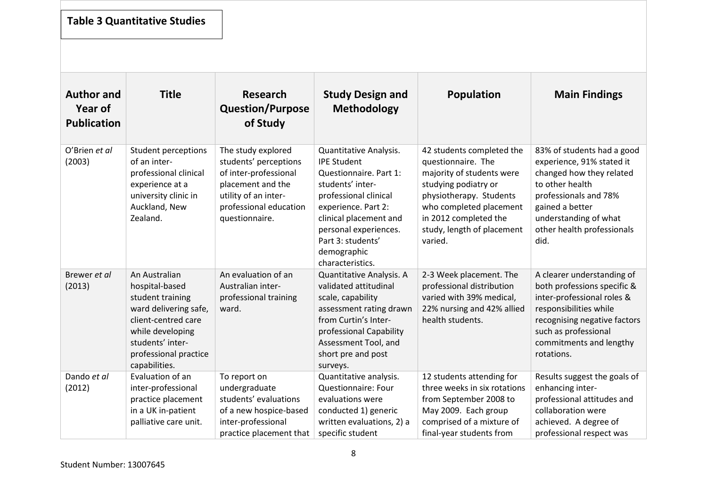# **Table 3 Quantitative Studies**

| <b>Author and</b><br><b>Year of</b><br><b>Publication</b> | <b>Title</b>                                                                                                                                                                          | <b>Research</b><br><b>Question/Purpose</b><br>of Study                                                                                                        | <b>Study Design and</b><br><b>Methodology</b>                                                                                                                                                                                                         | <b>Population</b>                                                                                                                                                                                                            | <b>Main Findings</b>                                                                                                                                                                                               |
|-----------------------------------------------------------|---------------------------------------------------------------------------------------------------------------------------------------------------------------------------------------|---------------------------------------------------------------------------------------------------------------------------------------------------------------|-------------------------------------------------------------------------------------------------------------------------------------------------------------------------------------------------------------------------------------------------------|------------------------------------------------------------------------------------------------------------------------------------------------------------------------------------------------------------------------------|--------------------------------------------------------------------------------------------------------------------------------------------------------------------------------------------------------------------|
| O'Brien et al<br>(2003)                                   | <b>Student perceptions</b><br>of an inter-<br>professional clinical<br>experience at a<br>university clinic in<br>Auckland, New<br>Zealand.                                           | The study explored<br>students' perceptions<br>of inter-professional<br>placement and the<br>utility of an inter-<br>professional education<br>questionnaire. | Quantitative Analysis.<br><b>IPE Student</b><br>Questionnaire. Part 1:<br>students' inter-<br>professional clinical<br>experience. Part 2:<br>clinical placement and<br>personal experiences.<br>Part 3: students'<br>demographic<br>characteristics. | 42 students completed the<br>questionnaire. The<br>majority of students were<br>studying podiatry or<br>physiotherapy. Students<br>who completed placement<br>in 2012 completed the<br>study, length of placement<br>varied. | 83% of students had a good<br>experience, 91% stated it<br>changed how they related<br>to other health<br>professionals and 78%<br>gained a better<br>understanding of what<br>other health professionals<br>did.  |
| Brewer et al<br>(2013)                                    | An Australian<br>hospital-based<br>student training<br>ward delivering safe,<br>client-centred care<br>while developing<br>students' inter-<br>professional practice<br>capabilities. | An evaluation of an<br>Australian inter-<br>professional training<br>ward.                                                                                    | Quantitative Analysis. A<br>validated attitudinal<br>scale, capability<br>assessment rating drawn<br>from Curtin's Inter-<br>professional Capability<br>Assessment Tool, and<br>short pre and post<br>surveys.                                        | 2-3 Week placement. The<br>professional distribution<br>varied with 39% medical,<br>22% nursing and 42% allied<br>health students.                                                                                           | A clearer understanding of<br>both professions specific &<br>inter-professional roles &<br>responsibilities while<br>recognising negative factors<br>such as professional<br>commitments and lengthy<br>rotations. |
| Dando et al<br>(2012)                                     | Evaluation of an<br>inter-professional<br>practice placement<br>in a UK in-patient<br>palliative care unit.                                                                           | To report on<br>undergraduate<br>students' evaluations<br>of a new hospice-based<br>inter-professional<br>practice placement that                             | Quantitative analysis.<br>Questionnaire: Four<br>evaluations were<br>conducted 1) generic<br>written evaluations, 2) a<br>specific student                                                                                                            | 12 students attending for<br>three weeks in six rotations<br>from September 2008 to<br>May 2009. Each group<br>comprised of a mixture of<br>final-year students from                                                         | Results suggest the goals of<br>enhancing inter-<br>professional attitudes and<br>collaboration were<br>achieved. A degree of<br>professional respect was                                                          |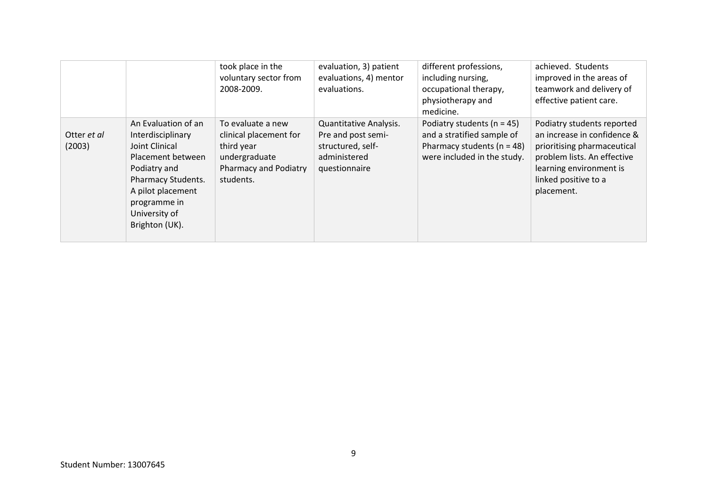|                       |                                                                                                                                                                                               | took place in the<br>voluntary sector from<br>2008-2009.                                                         | evaluation, 3) patient<br>evaluations, 4) mentor<br>evaluations.                                   | different professions,<br>including nursing,<br>occupational therapy,<br>physiotherapy and<br>medicine.                       | achieved. Students<br>improved in the areas of<br>teamwork and delivery of<br>effective patient care.                                                                                    |
|-----------------------|-----------------------------------------------------------------------------------------------------------------------------------------------------------------------------------------------|------------------------------------------------------------------------------------------------------------------|----------------------------------------------------------------------------------------------------|-------------------------------------------------------------------------------------------------------------------------------|------------------------------------------------------------------------------------------------------------------------------------------------------------------------------------------|
| Otter et al<br>(2003) | An Evaluation of an<br>Interdisciplinary<br>Joint Clinical<br>Placement between<br>Podiatry and<br>Pharmacy Students.<br>A pilot placement<br>programme in<br>University of<br>Brighton (UK). | To evaluate a new<br>clinical placement for<br>third year<br>undergraduate<br>Pharmacy and Podiatry<br>students. | Quantitative Analysis.<br>Pre and post semi-<br>structured, self-<br>administered<br>questionnaire | Podiatry students ( $n = 45$ )<br>and a stratified sample of<br>Pharmacy students ( $n = 48$ )<br>were included in the study. | Podiatry students reported<br>an increase in confidence &<br>prioritising pharmaceutical<br>problem lists. An effective<br>learning environment is<br>linked positive to a<br>placement. |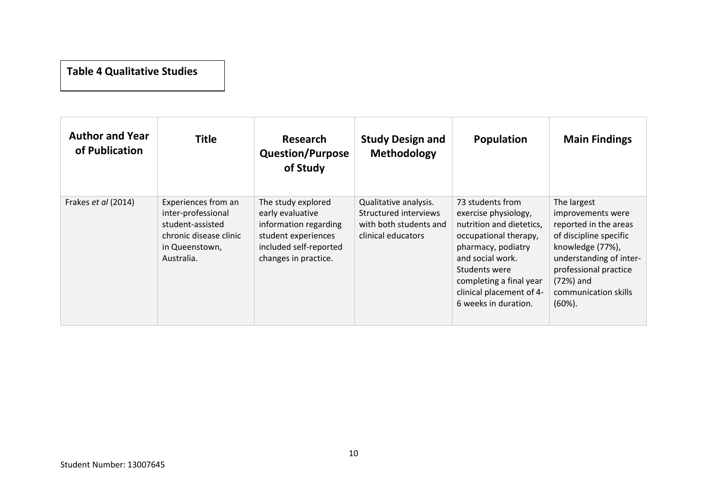# **Table 4 Qualitative Studies**

| <b>Author and Year</b><br>of Publication | <b>Title</b>                                                                                                            | <b>Research</b><br><b>Question/Purpose</b><br>of Study                                                                                   | <b>Study Design and</b><br><b>Methodology</b>                                                  | Population                                                                                                                                                                                                                              | <b>Main Findings</b>                                                                                                                                                                                             |
|------------------------------------------|-------------------------------------------------------------------------------------------------------------------------|------------------------------------------------------------------------------------------------------------------------------------------|------------------------------------------------------------------------------------------------|-----------------------------------------------------------------------------------------------------------------------------------------------------------------------------------------------------------------------------------------|------------------------------------------------------------------------------------------------------------------------------------------------------------------------------------------------------------------|
| Frakes et al (2014)                      | Experiences from an<br>inter-professional<br>student-assisted<br>chronic disease clinic<br>in Queenstown,<br>Australia. | The study explored<br>early evaluative<br>information regarding<br>student experiences<br>included self-reported<br>changes in practice. | Qualitative analysis.<br>Structured interviews<br>with both students and<br>clinical educators | 73 students from<br>exercise physiology,<br>nutrition and dietetics,<br>occupational therapy,<br>pharmacy, podiatry<br>and social work.<br>Students were<br>completing a final year<br>clinical placement of 4-<br>6 weeks in duration. | The largest<br>improvements were<br>reported in the areas<br>of discipline specific<br>knowledge (77%),<br>understanding of inter-<br>professional practice<br>$(72%)$ and<br>communication skills<br>$(60\%)$ . |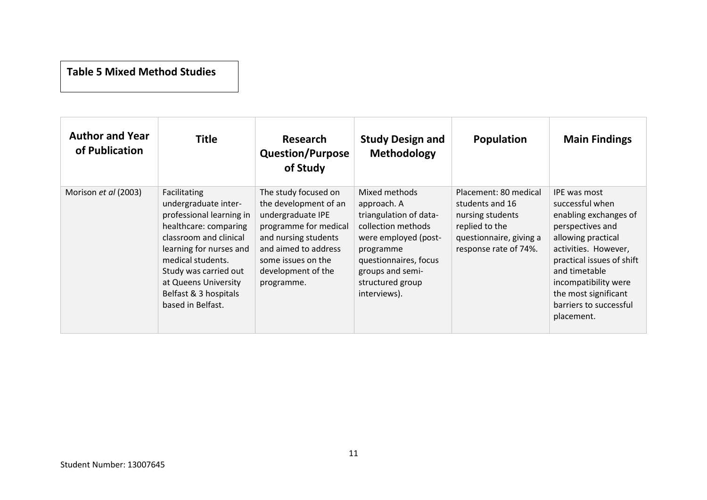### **Table 5 Mixed Method Studies**

| <b>Author and Year</b><br>of Publication | <b>Title</b>                                                                                                                                                                                                                                                       | <b>Research</b><br><b>Question/Purpose</b><br>of Study                                                                                                                                                | <b>Study Design and</b><br><b>Methodology</b>                                                                                                                                                      | <b>Population</b>                                                                                                                  | <b>Main Findings</b>                                                                                                                                                                                                                                             |
|------------------------------------------|--------------------------------------------------------------------------------------------------------------------------------------------------------------------------------------------------------------------------------------------------------------------|-------------------------------------------------------------------------------------------------------------------------------------------------------------------------------------------------------|----------------------------------------------------------------------------------------------------------------------------------------------------------------------------------------------------|------------------------------------------------------------------------------------------------------------------------------------|------------------------------------------------------------------------------------------------------------------------------------------------------------------------------------------------------------------------------------------------------------------|
| Morison et al (2003)                     | Facilitating<br>undergraduate inter-<br>professional learning in<br>healthcare: comparing<br>classroom and clinical<br>learning for nurses and<br>medical students.<br>Study was carried out<br>at Queens University<br>Belfast & 3 hospitals<br>based in Belfast. | The study focused on<br>the development of an<br>undergraduate IPE<br>programme for medical<br>and nursing students<br>and aimed to address<br>some issues on the<br>development of the<br>programme. | Mixed methods<br>approach. A<br>triangulation of data-<br>collection methods<br>were employed (post-<br>programme<br>questionnaires, focus<br>groups and semi-<br>structured group<br>interviews). | Placement: 80 medical<br>students and 16<br>nursing students<br>replied to the<br>questionnaire, giving a<br>response rate of 74%. | IPE was most<br>successful when<br>enabling exchanges of<br>perspectives and<br>allowing practical<br>activities. However,<br>practical issues of shift<br>and timetable<br>incompatibility were<br>the most significant<br>barriers to successful<br>placement. |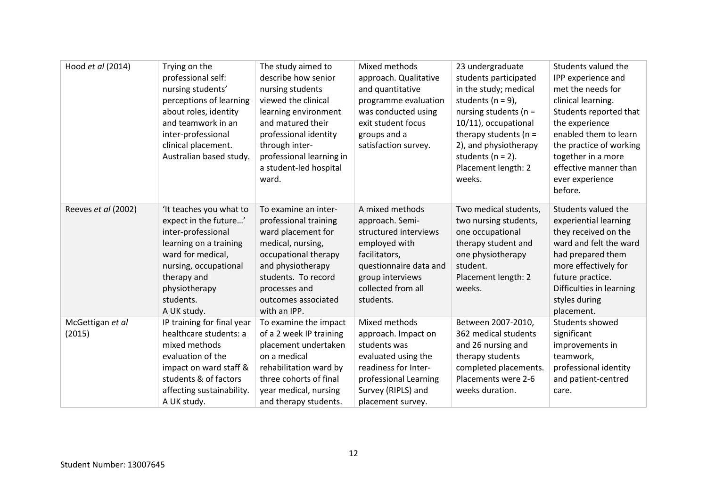| Hood et al (2014)          | Trying on the<br>professional self:<br>nursing students'<br>perceptions of learning<br>about roles, identity<br>and teamwork in an<br>inter-professional<br>clinical placement.<br>Australian based study. | The study aimed to<br>describe how senior<br>nursing students<br>viewed the clinical<br>learning environment<br>and matured their<br>professional identity<br>through inter-<br>professional learning in<br>a student-led hospital<br>ward. | Mixed methods<br>approach. Qualitative<br>and quantitative<br>programme evaluation<br>was conducted using<br>exit student focus<br>groups and a<br>satisfaction survey.        | 23 undergraduate<br>students participated<br>in the study; medical<br>students ( $n = 9$ ),<br>nursing students ( $n =$<br>10/11), occupational<br>therapy students ( $n =$<br>2), and physiotherapy<br>students ( $n = 2$ ).<br>Placement length: 2<br>weeks. | Students valued the<br>IPP experience and<br>met the needs for<br>clinical learning.<br>Students reported that<br>the experience<br>enabled them to learn<br>the practice of working<br>together in a more<br>effective manner than<br>ever experience<br>before. |
|----------------------------|------------------------------------------------------------------------------------------------------------------------------------------------------------------------------------------------------------|---------------------------------------------------------------------------------------------------------------------------------------------------------------------------------------------------------------------------------------------|--------------------------------------------------------------------------------------------------------------------------------------------------------------------------------|----------------------------------------------------------------------------------------------------------------------------------------------------------------------------------------------------------------------------------------------------------------|-------------------------------------------------------------------------------------------------------------------------------------------------------------------------------------------------------------------------------------------------------------------|
| Reeves et al (2002)        | 'It teaches you what to<br>expect in the future'<br>inter-professional<br>learning on a training<br>ward for medical,<br>nursing, occupational<br>therapy and<br>physiotherapy<br>students.<br>A UK study. | To examine an inter-<br>professional training<br>ward placement for<br>medical, nursing,<br>occupational therapy<br>and physiotherapy<br>students. To record<br>processes and<br>outcomes associated<br>with an IPP.                        | A mixed methods<br>approach. Semi-<br>structured interviews<br>employed with<br>facilitators,<br>questionnaire data and<br>group interviews<br>collected from all<br>students. | Two medical students,<br>two nursing students,<br>one occupational<br>therapy student and<br>one physiotherapy<br>student.<br>Placement length: 2<br>weeks.                                                                                                    | Students valued the<br>experiential learning<br>they received on the<br>ward and felt the ward<br>had prepared them<br>more effectively for<br>future practice.<br>Difficulties in learning<br>styles during<br>placement.                                        |
| McGettigan et al<br>(2015) | IP training for final year<br>healthcare students: a<br>mixed methods<br>evaluation of the<br>impact on ward staff &<br>students & of factors<br>affecting sustainability.<br>A UK study.                  | To examine the impact<br>of a 2 week IP training<br>placement undertaken<br>on a medical<br>rehabilitation ward by<br>three cohorts of final<br>year medical, nursing<br>and therapy students.                                              | Mixed methods<br>approach. Impact on<br>students was<br>evaluated using the<br>readiness for Inter-<br>professional Learning<br>Survey (RIPLS) and<br>placement survey.        | Between 2007-2010,<br>362 medical students<br>and 26 nursing and<br>therapy students<br>completed placements.<br>Placements were 2-6<br>weeks duration.                                                                                                        | Students showed<br>significant<br>improvements in<br>teamwork,<br>professional identity<br>and patient-centred<br>care.                                                                                                                                           |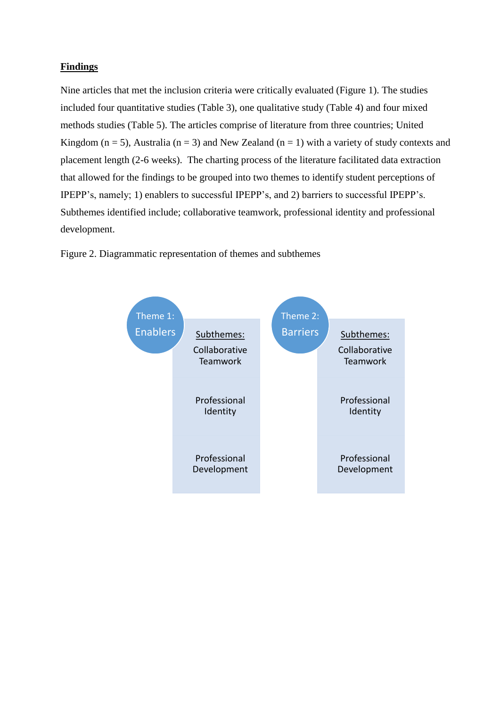#### **Findings**

Nine articles that met the inclusion criteria were critically evaluated (Figure 1). The studies included four quantitative studies (Table 3), one qualitative study (Table 4) and four mixed methods studies (Table 5). The articles comprise of literature from three countries; United Kingdom ( $n = 5$ ), Australia ( $n = 3$ ) and New Zealand ( $n = 1$ ) with a variety of study contexts and placement length (2-6 weeks). The charting process of the literature facilitated data extraction that allowed for the findings to be grouped into two themes to identify student perceptions of IPEPP's, namely; 1) enablers to successful IPEPP's, and 2) barriers to successful IPEPP's. Subthemes identified include; collaborative teamwork, professional identity and professional development.



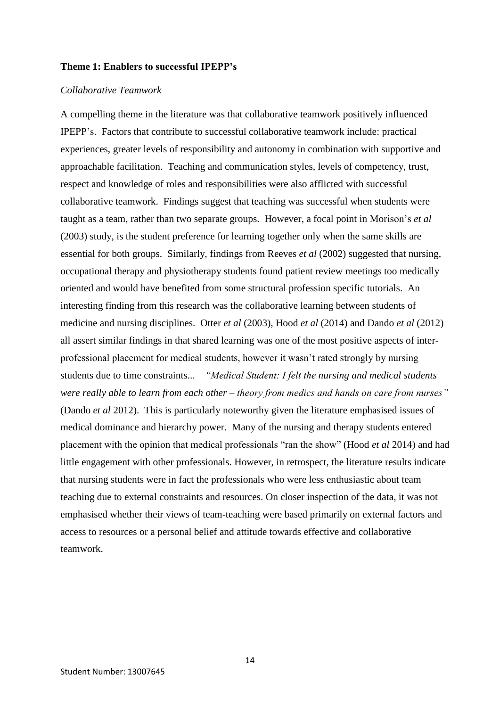#### **Theme 1: Enablers to successful IPEPP's**

#### *Collaborative Teamwork*

A compelling theme in the literature was that collaborative teamwork positively influenced IPEPP's. Factors that contribute to successful collaborative teamwork include: practical experiences, greater levels of responsibility and autonomy in combination with supportive and approachable facilitation. Teaching and communication styles, levels of competency, trust, respect and knowledge of roles and responsibilities were also afflicted with successful collaborative teamwork.Findings suggest that teaching was successful when students were taught as a team, rather than two separate groups. However, a focal point in Morison's *et al* (2003) study, is the student preference for learning together only when the same skills are essential for both groups. Similarly, findings from Reeves *et al* (2002) suggested that nursing, occupational therapy and physiotherapy students found patient review meetings too medically oriented and would have benefited from some structural profession specific tutorials. An interesting finding from this research was the collaborative learning between students of medicine and nursing disciplines. Otter *et al* (2003), Hood *et al* (2014) and Dando *et al* (2012) all assert similar findings in that shared learning was one of the most positive aspects of interprofessional placement for medical students, however it wasn't rated strongly by nursing students due to time constraints... *"Medical Student: I felt the nursing and medical students were really able to learn from each other – theory from medics and hands on care from nurses"* (Dando *et al* 2012).This is particularly noteworthy given the literature emphasised issues of medical dominance and hierarchy power. Many of the nursing and therapy students entered placement with the opinion that medical professionals "ran the show" (Hood *et al* 2014) and had little engagement with other professionals. However, in retrospect, the literature results indicate that nursing students were in fact the professionals who were less enthusiastic about team teaching due to external constraints and resources. On closer inspection of the data, it was not emphasised whether their views of team-teaching were based primarily on external factors and access to resources or a personal belief and attitude towards effective and collaborative teamwork.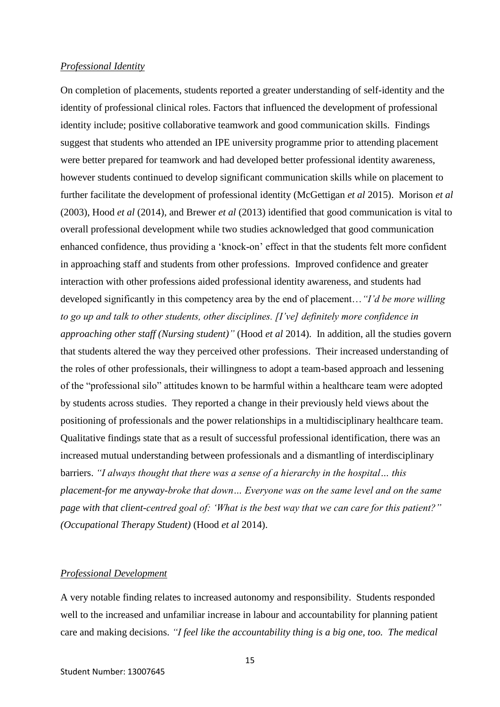#### *Professional Identity*

On completion of placements, students reported a greater understanding of self-identity and the identity of professional clinical roles. Factors that influenced the development of professional identity include; positive collaborative teamwork and good communication skills. Findings suggest that students who attended an IPE university programme prior to attending placement were better prepared for teamwork and had developed better professional identity awareness, however students continued to develop significant communication skills while on placement to further facilitate the development of professional identity (McGettigan *et al* 2015). Morison *et al* (2003), Hood *et al* (2014), and Brewer *et al* (2013) identified that good communication is vital to overall professional development while two studies acknowledged that good communication enhanced confidence, thus providing a 'knock-on' effect in that the students felt more confident in approaching staff and students from other professions. Improved confidence and greater interaction with other professions aided professional identity awareness, and students had developed significantly in this competency area by the end of placement…*"I'd be more willing to go up and talk to other students, other disciplines. [I've] definitely more confidence in approaching other staff (Nursing student)"* (Hood *et al* 2014). In addition, all the studies govern that students altered the way they perceived other professions. Their increased understanding of the roles of other professionals, their willingness to adopt a team-based approach and lessening of the "professional silo" attitudes known to be harmful within a healthcare team were adopted by students across studies. They reported a change in their previously held views about the positioning of professionals and the power relationships in a multidisciplinary healthcare team. Qualitative findings state that as a result of successful professional identification, there was an increased mutual understanding between professionals and a dismantling of interdisciplinary barriers. *"I always thought that there was a sense of a hierarchy in the hospital… this placement-for me anyway-broke that down… Everyone was on the same level and on the same page with that client-centred goal of: 'What is the best way that we can care for this patient?" (Occupational Therapy Student)* (Hood *et al* 2014).

#### *Professional Development*

A very notable finding relates to increased autonomy and responsibility. Students responded well to the increased and unfamiliar increase in labour and accountability for planning patient care and making decisions. *"I feel like the accountability thing is a big one, too. The medical*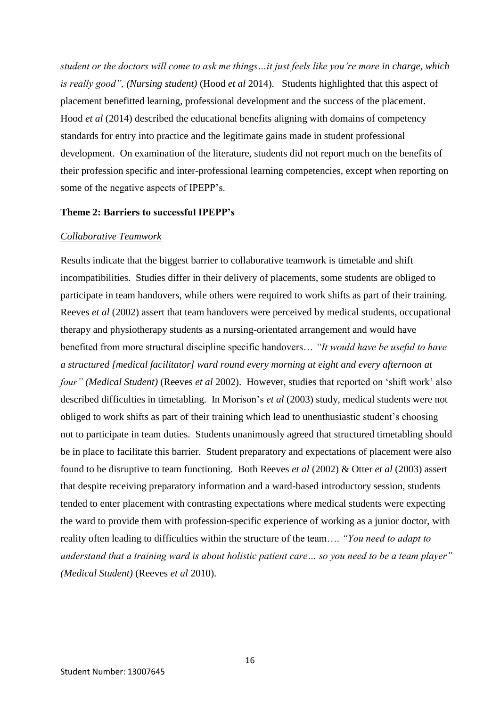*student or the doctors will come to ask me things…it just feels like you're more in charge, which is really good", (Nursing student)* (Hood *et al* 2014). Students highlighted that this aspect of placement benefitted learning, professional development and the success of the placement. Hood *et al* (2014) described the educational benefits aligning with domains of competency standards for entry into practice and the legitimate gains made in student professional development. On examination of the literature, students did not report much on the benefits of their profession specific and inter-professional learning competencies, except when reporting on some of the negative aspects of IPEPP's.

#### **Theme 2: Barriers to successful IPEPP's**

#### *Collaborative Teamwork*

Results indicate that the biggest barrier to collaborative teamwork is timetable and shift incompatibilities. Studies differ in their delivery of placements, some students are obliged to participate in team handovers, while others were required to work shifts as part of their training. Reeves *et al* (2002) assert that team handovers were perceived by medical students, occupational therapy and physiotherapy students as a nursing-orientated arrangement and would have benefited from more structural discipline specific handovers… *"It would have be useful to have a structured [medical facilitator] ward round every morning at eight and every afternoon at four" (Medical Student)* (Reeves *et al* 2002).However, studies that reported on 'shift work' also described difficulties in timetabling. In Morison's *et al* (2003) study, medical students were not obliged to work shifts as part of their training which lead to unenthusiastic student's choosing not to participate in team duties. Students unanimously agreed that structured timetabling should be in place to facilitate this barrier. Student preparatory and expectations of placement were also found to be disruptive to team functioning. Both Reeves *et al* (2002) & Otter *et al* (2003) assert that despite receiving preparatory information and a ward-based introductory session, students tended to enter placement with contrasting expectations where medical students were expecting the ward to provide them with profession-specific experience of working as a junior doctor, with reality often leading to difficulties within the structure of the team…. *"You need to adapt to understand that a training ward is about holistic patient care… so you need to be a team player" (Medical Student)* (Reeves *et al* 2010).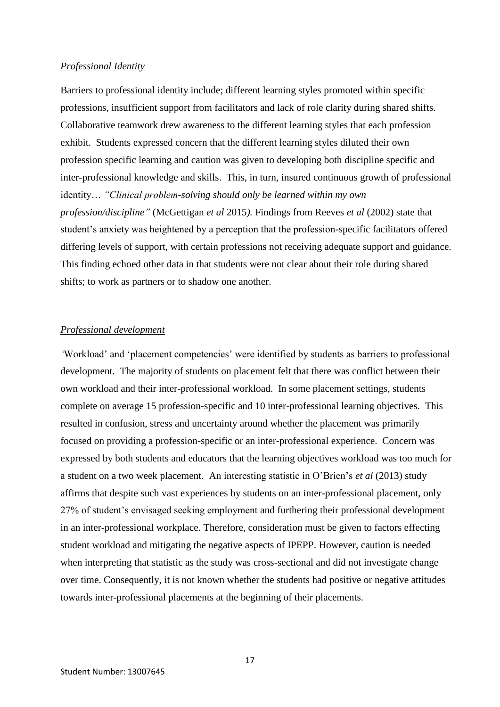#### *Professional Identity*

Barriers to professional identity include; different learning styles promoted within specific professions, insufficient support from facilitators and lack of role clarity during shared shifts. Collaborative teamwork drew awareness to the different learning styles that each profession exhibit. Students expressed concern that the different learning styles diluted their own profession specific learning and caution was given to developing both discipline specific and inter-professional knowledge and skills. This, in turn, insured continuous growth of professional identity… *"Clinical problem-solving should only be learned within my own profession/discipline"* (McGettigan *et al* 2015*).* Findings from Reeves *et al* (2002) state that student's anxiety was heightened by a perception that the profession-specific facilitators offered differing levels of support, with certain professions not receiving adequate support and guidance. This finding echoed other data in that students were not clear about their role during shared shifts; to work as partners or to shadow one another.

#### *Professional development*

*'*Workload' and 'placement competencies' were identified by students as barriers to professional development. The majority of students on placement felt that there was conflict between their own workload and their inter-professional workload. In some placement settings, students complete on average 15 profession-specific and 10 inter-professional learning objectives. This resulted in confusion, stress and uncertainty around whether the placement was primarily focused on providing a profession-specific or an inter-professional experience. Concern was expressed by both students and educators that the learning objectives workload was too much for a student on a two week placement. An interesting statistic in O'Brien's *et al* (2013) study affirms that despite such vast experiences by students on an inter-professional placement, only 27% of student's envisaged seeking employment and furthering their professional development in an inter-professional workplace. Therefore, consideration must be given to factors effecting student workload and mitigating the negative aspects of IPEPP. However, caution is needed when interpreting that statistic as the study was cross-sectional and did not investigate change over time. Consequently, it is not known whether the students had positive or negative attitudes towards inter-professional placements at the beginning of their placements.

17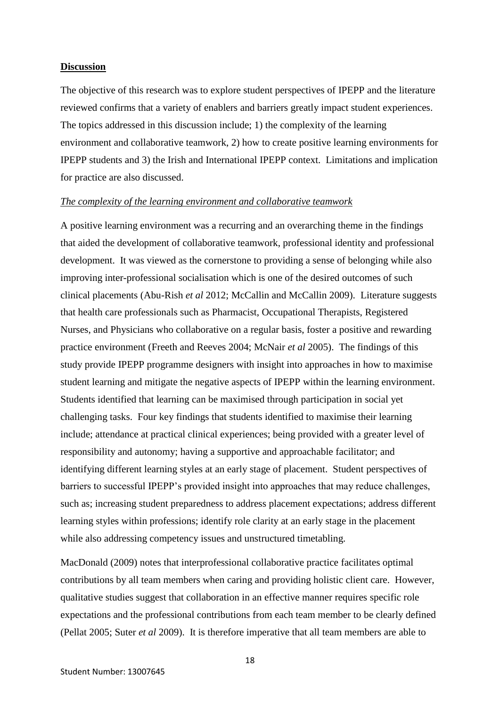#### **Discussion**

The objective of this research was to explore student perspectives of IPEPP and the literature reviewed confirms that a variety of enablers and barriers greatly impact student experiences. The topics addressed in this discussion include; 1) the complexity of the learning environment and collaborative teamwork, 2) how to create positive learning environments for IPEPP students and 3) the Irish and International IPEPP context. Limitations and implication for practice are also discussed.

#### *The complexity of the learning environment and collaborative teamwork*

A positive learning environment was a recurring and an overarching theme in the findings that aided the development of collaborative teamwork, professional identity and professional development. It was viewed as the cornerstone to providing a sense of belonging while also improving inter-professional socialisation which is one of the desired outcomes of such clinical placements (Abu-Rish *et al* 2012; McCallin and McCallin 2009). Literature suggests that health care professionals such as Pharmacist, Occupational Therapists, Registered Nurses, and Physicians who collaborative on a regular basis, foster a positive and rewarding practice environment (Freeth and Reeves 2004; McNair *et al* 2005). The findings of this study provide IPEPP programme designers with insight into approaches in how to maximise student learning and mitigate the negative aspects of IPEPP within the learning environment. Students identified that learning can be maximised through participation in social yet challenging tasks. Four key findings that students identified to maximise their learning include; attendance at practical clinical experiences; being provided with a greater level of responsibility and autonomy; having a supportive and approachable facilitator; and identifying different learning styles at an early stage of placement. Student perspectives of barriers to successful IPEPP's provided insight into approaches that may reduce challenges, such as; increasing student preparedness to address placement expectations; address different learning styles within professions; identify role clarity at an early stage in the placement while also addressing competency issues and unstructured timetabling*.* 

MacDonald (2009) notes that interprofessional collaborative practice facilitates optimal contributions by all team members when caring and providing holistic client care. However, qualitative studies suggest that collaboration in an effective manner requires specific role expectations and the professional contributions from each team member to be clearly defined (Pellat 2005; Suter *et al* 2009). It is therefore imperative that all team members are able to

18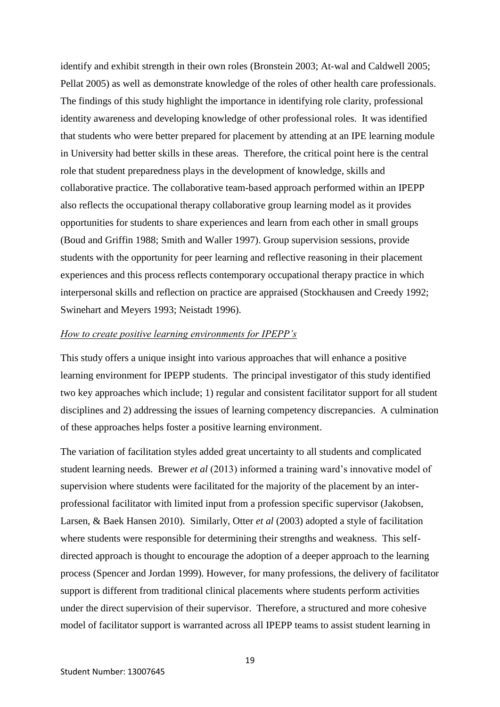identify and exhibit strength in their own roles (Bronstein 2003; At-wal and Caldwell 2005; Pellat 2005) as well as demonstrate knowledge of the roles of other health care professionals. The findings of this study highlight the importance in identifying role clarity, professional identity awareness and developing knowledge of other professional roles. It was identified that students who were better prepared for placement by attending at an IPE learning module in University had better skills in these areas. Therefore, the critical point here is the central role that student preparedness plays in the development of knowledge, skills and collaborative practice. The collaborative team-based approach performed within an IPEPP also reflects the occupational therapy collaborative group learning model as it provides opportunities for students to share experiences and learn from each other in small groups (Boud and Griffin 1988; Smith and Waller 1997). Group supervision sessions, provide students with the opportunity for peer learning and reflective reasoning in their placement experiences and this process reflects contemporary occupational therapy practice in which interpersonal skills and reflection on practice are appraised (Stockhausen and Creedy 1992; Swinehart and Meyers 1993; Neistadt 1996).

#### *How to create positive learning environments for IPEPP's*

This study offers a unique insight into various approaches that will enhance a positive learning environment for IPEPP students. The principal investigator of this study identified two key approaches which include; 1) regular and consistent facilitator support for all student disciplines and 2) addressing the issues of learning competency discrepancies. A culmination of these approaches helps foster a positive learning environment.

The variation of facilitation styles added great uncertainty to all students and complicated student learning needs. Brewer *et al* (2013) informed a training ward's innovative model of supervision where students were facilitated for the majority of the placement by an interprofessional facilitator with limited input from a profession specific supervisor (Jakobsen, Larsen, & Baek Hansen 2010). Similarly, Otter *et al* (2003) adopted a style of facilitation where students were responsible for determining their strengths and weakness. This selfdirected approach is thought to encourage the adoption of a deeper approach to the learning process (Spencer and Jordan 1999). However, for many professions, the delivery of facilitator support is different from traditional clinical placements where students perform activities under the direct supervision of their supervisor. Therefore, a structured and more cohesive model of facilitator support is warranted across all IPEPP teams to assist student learning in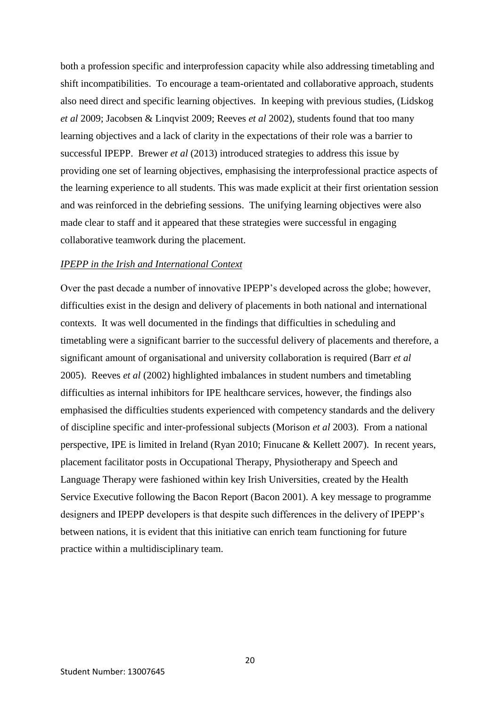both a profession specific and interprofession capacity while also addressing timetabling and shift incompatibilities. To encourage a team-orientated and collaborative approach, students also need direct and specific learning objectives. In keeping with previous studies, (Lidskog *et al* 2009; Jacobsen & Linqvist 2009; Reeves *et al* 2002), students found that too many learning objectives and a lack of clarity in the expectations of their role was a barrier to successful IPEPP. Brewer *et al* (2013) introduced strategies to address this issue by providing one set of learning objectives, emphasising the interprofessional practice aspects of the learning experience to all students. This was made explicit at their first orientation session and was reinforced in the debriefing sessions. The unifying learning objectives were also made clear to staff and it appeared that these strategies were successful in engaging collaborative teamwork during the placement.

#### *IPEPP in the Irish and International Context*

Over the past decade a number of innovative IPEPP's developed across the globe; however, difficulties exist in the design and delivery of placements in both national and international contexts. It was well documented in the findings that difficulties in scheduling and timetabling were a significant barrier to the successful delivery of placements and therefore, a significant amount of organisational and university collaboration is required (Barr *et al* 2005). Reeves *et al* (2002) highlighted imbalances in student numbers and timetabling difficulties as internal inhibitors for IPE healthcare services, however, the findings also emphasised the difficulties students experienced with competency standards and the delivery of discipline specific and inter-professional subjects (Morison *et al* 2003). From a national perspective, IPE is limited in Ireland (Ryan 2010; Finucane & Kellett 2007). In recent years, placement facilitator posts in Occupational Therapy, Physiotherapy and Speech and Language Therapy were fashioned within key Irish Universities, created by the Health Service Executive following the Bacon Report (Bacon 2001). A key message to programme designers and IPEPP developers is that despite such differences in the delivery of IPEPP's between nations, it is evident that this initiative can enrich team functioning for future practice within a multidisciplinary team.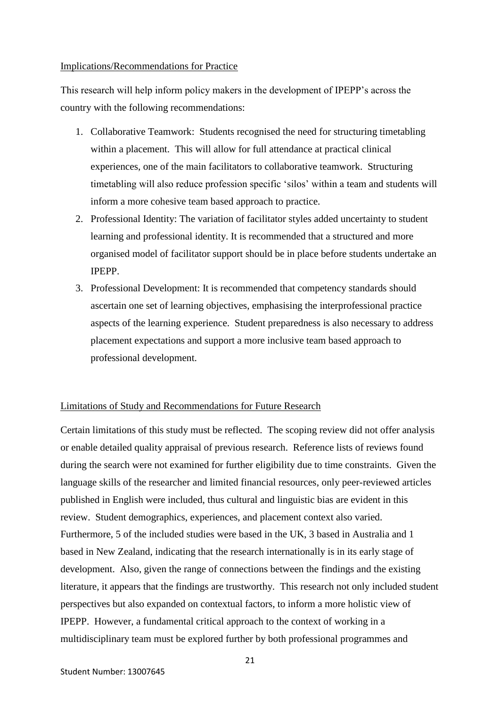#### Implications/Recommendations for Practice

This research will help inform policy makers in the development of IPEPP's across the country with the following recommendations:

- 1. Collaborative Teamwork: Students recognised the need for structuring timetabling within a placement. This will allow for full attendance at practical clinical experiences, one of the main facilitators to collaborative teamwork. Structuring timetabling will also reduce profession specific 'silos' within a team and students will inform a more cohesive team based approach to practice.
- 2. Professional Identity: The variation of facilitator styles added uncertainty to student learning and professional identity. It is recommended that a structured and more organised model of facilitator support should be in place before students undertake an IPEPP.
- 3. Professional Development: It is recommended that competency standards should ascertain one set of learning objectives, emphasising the interprofessional practice aspects of the learning experience. Student preparedness is also necessary to address placement expectations and support a more inclusive team based approach to professional development.

#### Limitations of Study and Recommendations for Future Research

Certain limitations of this study must be reflected. The scoping review did not offer analysis or enable detailed quality appraisal of previous research. Reference lists of reviews found during the search were not examined for further eligibility due to time constraints. Given the language skills of the researcher and limited financial resources, only peer-reviewed articles published in English were included, thus cultural and linguistic bias are evident in this review. Student demographics, experiences, and placement context also varied. Furthermore, 5 of the included studies were based in the UK, 3 based in Australia and 1 based in New Zealand, indicating that the research internationally is in its early stage of development. Also, given the range of connections between the findings and the existing literature, it appears that the findings are trustworthy. This research not only included student perspectives but also expanded on contextual factors, to inform a more holistic view of IPEPP. However, a fundamental critical approach to the context of working in a multidisciplinary team must be explored further by both professional programmes and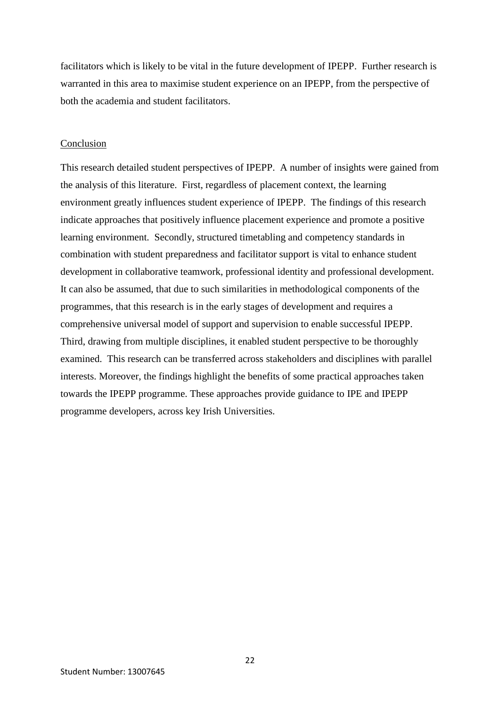facilitators which is likely to be vital in the future development of IPEPP. Further research is warranted in this area to maximise student experience on an IPEPP, from the perspective of both the academia and student facilitators.

#### Conclusion

This research detailed student perspectives of IPEPP. A number of insights were gained from the analysis of this literature. First, regardless of placement context, the learning environment greatly influences student experience of IPEPP. The findings of this research indicate approaches that positively influence placement experience and promote a positive learning environment. Secondly, structured timetabling and competency standards in combination with student preparedness and facilitator support is vital to enhance student development in collaborative teamwork, professional identity and professional development. It can also be assumed, that due to such similarities in methodological components of the programmes, that this research is in the early stages of development and requires a comprehensive universal model of support and supervision to enable successful IPEPP. Third, drawing from multiple disciplines, it enabled student perspective to be thoroughly examined. This research can be transferred across stakeholders and disciplines with parallel interests. Moreover, the findings highlight the benefits of some practical approaches taken towards the IPEPP programme. These approaches provide guidance to IPE and IPEPP programme developers, across key Irish Universities.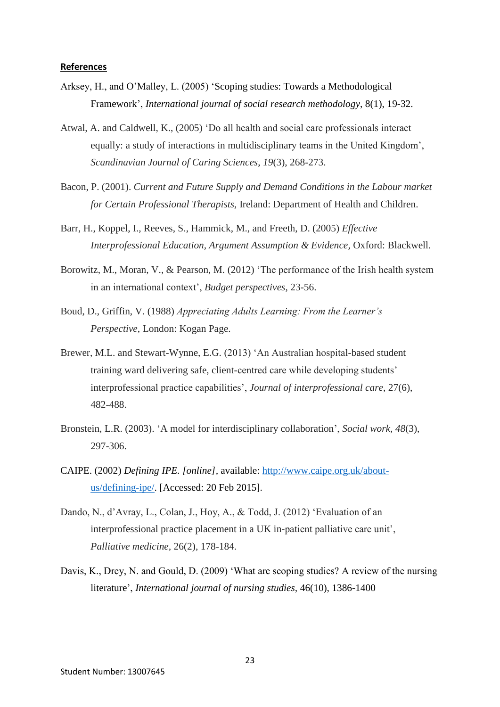#### **References**

- Arksey, H., and O'Malley, L. (2005) 'Scoping studies: Towards a Methodological Framework', *International journal of social research methodology*, 8(1), 19-32.
- Atwal, A. and Caldwell, K., (2005) 'Do all health and social care professionals interact equally: a study of interactions in multidisciplinary teams in the United Kingdom', *Scandinavian Journal of Caring Sciences*, *19*(3), 268-273.
- Bacon, P. (2001). *Current and Future Supply and Demand Conditions in the Labour market for Certain Professional Therapists,* Ireland: Department of Health and Children.
- Barr, H., Koppel, I., Reeves, S., Hammick, M., and Freeth, D. (2005) *Effective Interprofessional Education, Argument Assumption & Evidence,* Oxford: Blackwell.
- Borowitz, M., Moran, V., & Pearson, M. (2012) 'The performance of the Irish health system in an international context', *Budget perspectives*, 23-56.
- Boud, D., Griffin, V. (1988) *Appreciating Adults Learning: From the Learner's Perspective*, London: Kogan Page.
- Brewer, M.L. and Stewart-Wynne, E.G. (2013) 'An Australian hospital-based student training ward delivering safe, client-centred care while developing students' interprofessional practice capabilities', *Journal of interprofessional care*, 27(6), 482-488.
- Bronstein, L.R. (2003). 'A model for interdisciplinary collaboration', *Social work*, *48*(3), 297-306.
- CAIPE. (2002) *Defining IPE. [online],* available: [http://www.caipe.org.uk/about](http://www.caipe.org.uk/about-%09us/defining-ipe/)[us/defining-ipe/.](http://www.caipe.org.uk/about-%09us/defining-ipe/) [Accessed: 20 Feb 2015].
- Dando, N., d'Avray, L., Colan, J., Hoy, A., & Todd, J. (2012) 'Evaluation of an interprofessional practice placement in a UK in-patient palliative care unit', *Palliative medicine,* 26(2), 178-184.
- Davis, K., Drey, N. and Gould, D. (2009) 'What are scoping studies? A review of the nursing literature', *International journal of nursing studies,* 46(10), 1386-1400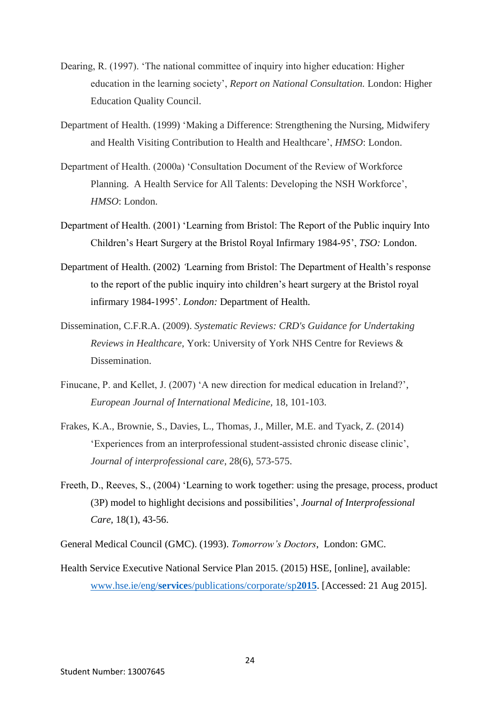- Dearing, R. (1997). 'The national committee of inquiry into higher education: Higher education in the learning society', *Report on National Consultation.* London: Higher Education Quality Council.
- Department of Health. (1999) 'Making a Difference: Strengthening the Nursing, Midwifery and Health Visiting Contribution to Health and Healthcare', *HMSO*: London.
- Department of Health. (2000a) 'Consultation Document of the Review of Workforce Planning. A Health Service for All Talents: Developing the NSH Workforce', *HMSO*: London.
- Department of Health. (2001) 'Learning from Bristol: The Report of the Public inquiry Into Children's Heart Surgery at the Bristol Royal Infirmary 1984-95', *TSO:* London.
- Department of Health. (2002) *'*Learning from Bristol: The Department of Health's response to the report of the public inquiry into children's heart surgery at the Bristol royal infirmary 1984-1995'. *London:* Department of Health*.*
- Dissemination, C.F.R.A. (2009). *Systematic Reviews: CRD's Guidance for Undertaking Reviews in Healthcare*, York: University of York NHS Centre for Reviews & Dissemination.
- Finucane, P. and Kellet, J. (2007) 'A new direction for medical education in Ireland?', *European Journal of International Medicine,* 18, 101-103.
- Frakes, K.A., Brownie, S., Davies, L., Thomas, J., Miller, M.E. and Tyack, Z. (2014) 'Experiences from an interprofessional student-assisted chronic disease clinic', *Journal of interprofessional care*, 28(6), 573-575.
- Freeth, D., Reeves, S., (2004) 'Learning to work together: using the presage, process, product (3P) model to highlight decisions and possibilities', *Journal of Interprofessional Care,* 18(1), 43-56.
- General Medical Council (GMC). (1993). *Tomorrow's Doctors*, London: GMC.
- Health Service Executive National Service Plan 2015. (2015) HSE, [online], available: www.hse.ie/eng/**service**[s/publications/corporate/sp](http://www.hse.ie/eng/services/publications/corporate/sp2015)**2015**. [Accessed: 21 Aug 2015].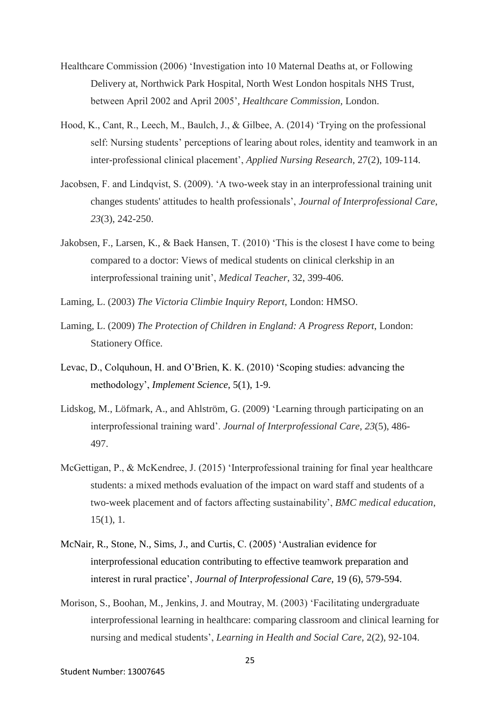- Healthcare Commission (2006) 'Investigation into 10 Maternal Deaths at, or Following Delivery at, Northwick Park Hospital, North West London hospitals NHS Trust, between April 2002 and April 2005'*, Healthcare Commission,* London.
- Hood, K., Cant, R., Leech, M., Baulch, J., & Gilbee, A. (2014) 'Trying on the professional self: Nursing students' perceptions of learing about roles, identity and teamwork in an inter-professional clinical placement', *Applied Nursing Research*, 27(2), 109-114.
- Jacobsen, F. and Lindqvist, S. (2009). 'A two-week stay in an interprofessional training unit changes students' attitudes to health professionals', *Journal of Interprofessional Care*, *23*(3), 242-250.
- Jakobsen, F., Larsen, K., & Baek Hansen, T. (2010) 'This is the closest I have come to being compared to a doctor: Views of medical students on clinical clerkship in an interprofessional training unit', *Medical Teacher*, 32, 399-406.
- Laming, L. (2003) *The Victoria Climbie Inquiry Report*, London: HMSO.
- Laming, L. (2009) *The Protection of Children in England: A Progress Report*, London: Stationery Office.
- Levac, D., Colquhoun, H. and O'Brien, K. K. (2010) 'Scoping studies: advancing the methodology', *Implement Science,* 5(1), 1-9.
- Lidskog, M., Löfmark, A., and Ahlström, G. (2009) 'Learning through participating on an interprofessional training ward'. *Journal of Interprofessional Care*, *23*(5), 486- 497.
- McGettigan, P., & McKendree, J. (2015) 'Interprofessional training for final year healthcare students: a mixed methods evaluation of the impact on ward staff and students of a two-week placement and of factors affecting sustainability', *BMC medical education*, 15(1), 1.
- McNair, R., Stone, N., Sims, J., and Curtis, C. (2005) 'Australian evidence for interprofessional education contributing to effective teamwork preparation and interest in rural practice', *Journal of Interprofessional Care,* 19 (6), 579-594.
- Morison, S., Boohan, M., Jenkins, J. and Moutray, M. (2003) 'Facilitating undergraduate interprofessional learning in healthcare: comparing classroom and clinical learning for nursing and medical students', *Learning in Health and Social Care*, 2(2), 92-104.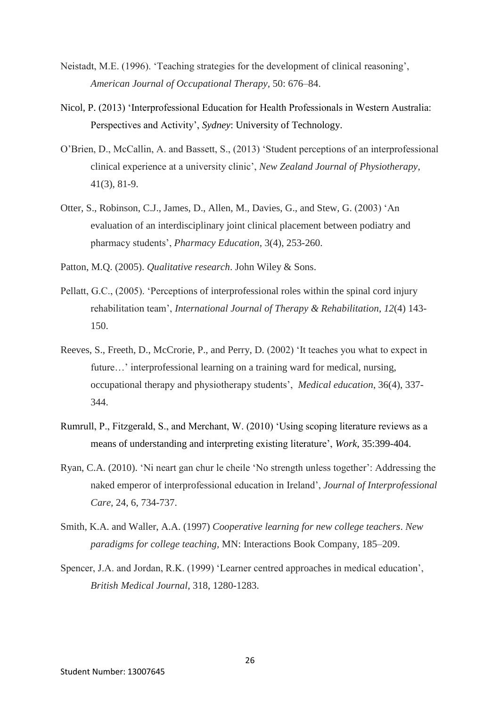- Neistadt, M.E. (1996). 'Teaching strategies for the development of clinical reasoning', *American Journal of Occupational Therapy,* 50: 676–84.
- Nicol, P. (2013) 'Interprofessional Education for Health Professionals in Western Australia: Perspectives and Activity', *Sydney*: University of Technology.
- O'Brien, D., McCallin, A. and Bassett, S., (2013) 'Student perceptions of an interprofessional clinical experience at a university clinic', *New Zealand Journal of Physiotherapy*, 41(3), 81-9.
- Otter, S., Robinson, C.J., James, D., Allen, M., Davies, G., and Stew, G. (2003) 'An evaluation of an interdisciplinary joint clinical placement between podiatry and pharmacy students', *Pharmacy Education*, 3(4), 253-260.
- Patton, M.Q. (2005). *Qualitative research*. John Wiley & Sons.
- Pellatt, G.C., (2005). 'Perceptions of interprofessional roles within the spinal cord injury rehabilitation team', *International Journal of Therapy & Rehabilitation*, *12*(4) 143- 150.
- Reeves, S., Freeth, D., McCrorie, P., and Perry, D. (2002) 'It teaches you what to expect in future...' interprofessional learning on a training ward for medical, nursing, occupational therapy and physiotherapy students', *Medical education*, 36(4), 337- 344.
- Rumrull, P., Fitzgerald, S., and Merchant, W. (2010) 'Using scoping literature reviews as a means of understanding and interpreting existing literature', *Work,* 35:399-404.
- Ryan, C.A. (2010). 'Ni neart gan chur le cheile 'No strength unless together': Addressing the naked emperor of interprofessional education in Ireland', *Journal of Interprofessional Care,* 24, 6, 734-737.
- Smith, K.A. and Waller, A.A. (1997) *Cooperative learning for new college teachers*. *New paradigms for college teaching,* MN: Interactions Book Company, 185–209.
- Spencer, J.A. and Jordan, R.K. (1999) 'Learner centred approaches in medical education', *British Medical Journal,* 318, 1280-1283.